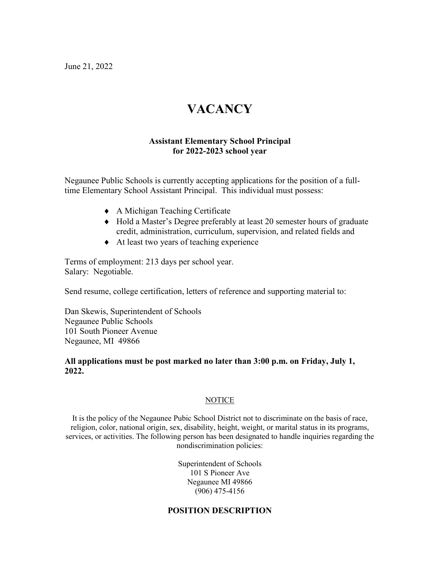June 21, 2022

# **VACANCY**

# **Assistant Elementary School Principal for 2022-2023 school year**

Negaunee Public Schools is currently accepting applications for the position of a fulltime Elementary School Assistant Principal. This individual must possess:

- ♦ A Michigan Teaching Certificate
- ♦ Hold a Master's Degree preferably at least 20 semester hours of graduate credit, administration, curriculum, supervision, and related fields and
- ♦ At least two years of teaching experience

Terms of employment: 213 days per school year. Salary: Negotiable.

Send resume, college certification, letters of reference and supporting material to:

Dan Skewis, Superintendent of Schools Negaunee Public Schools 101 South Pioneer Avenue Negaunee, MI 49866

## **All applications must be post marked no later than 3:00 p.m. on Friday, July 1, 2022.**

## **NOTICE**

It is the policy of the Negaunee Pubic School District not to discriminate on the basis of race, religion, color, national origin, sex, disability, height, weight, or marital status in its programs, services, or activities. The following person has been designated to handle inquiries regarding the nondiscrimination policies:

> Superintendent of Schools 101 S Pioneer Ave Negaunee MI 49866 (906) 475-4156

## **POSITION DESCRIPTION**